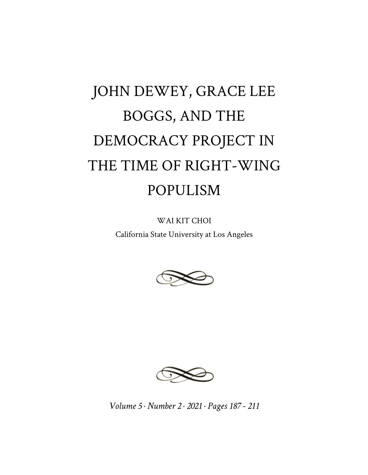# JOHN DEWEY, GRACE LEE BOGGS, AND THE DEMOCRACY PROJECT IN THE TIME OF RIGHT-WING POPULISM

WAI KIT CHOI California State University at Los Angeles





*Volume 5 · Number 2 · 2021 · Pages 187 - 211*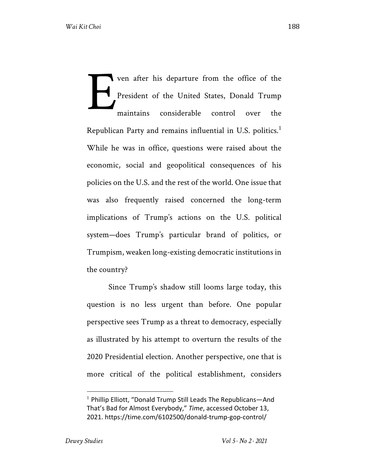ven after his departure from the office of the President of the United States, Donald Trump maintains considerable control over the Republican Party and remains influential in U.S. politics.<sup>1</sup> While he was in office, questions were raised about the economic, social and geopolitical consequences of his policies on the U.S. and the rest of the world. One issue that was also frequently raised concerned the long-term implications of Trump's actions on the U.S. political system—does Trump's particular brand of politics, or Trumpism, weaken long-existing democratic institutions in the country? E

Since Trump's shadow still looms large today, this question is no less urgent than before. One popular perspective sees Trump as a threat to democracy, especially as illustrated by his attempt to overturn the results of the 2020 Presidential election. Another perspective, one that is more critical of the political establishment, considers

 $1$  Phillip Elliott, "Donald Trump Still Leads The Republicans—And That's Bad for Almost Everybody," *Time*, accessed October 13, 2021. https://time.com/6102500/donald-trump-gop-control/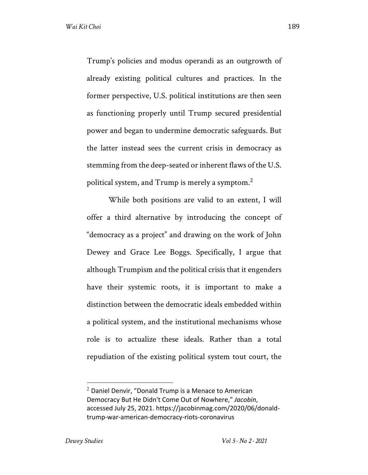Trump's policies and modus operandi as an outgrowth of already existing political cultures and practices. In the former perspective, U.S. political institutions are then seen as functioning properly until Trump secured presidential power and began to undermine democratic safeguards. But the latter instead sees the current crisis in democracy as stemming from the deep-seated or inherent flaws of the U.S. political system, and Trump is merely a symptom.<sup>2</sup>

While both positions are valid to an extent, I will offer a third alternative by introducing the concept of "democracy as a project" and drawing on the work of John Dewey and Grace Lee Boggs. Specifically, I argue that although Trumpism and the political crisis that it engenders have their systemic roots, it is important to make a distinction between the democratic ideals embedded within a political system, and the institutional mechanisms whose role is to actualize these ideals. Rather than a total repudiation of the existing political system tout court, the

 $2$  Daniel Denvir, "Donald Trump is a Menace to American Democracy But He Didn't Come Out of Nowhere," *Jacobin*, accessed July 25, 2021. https://jacobinmag.com/2020/06/donaldtrump-war-american-democracy-riots-coronavirus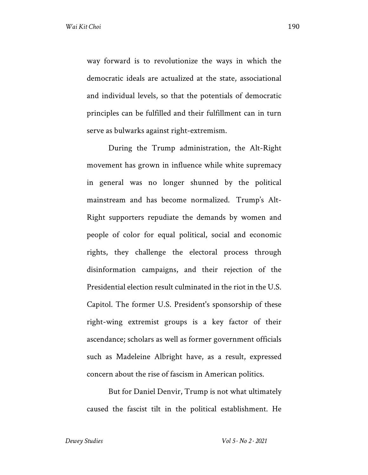way forward is to revolutionize the ways in which the democratic ideals are actualized at the state, associational and individual levels, so that the potentials of democratic principles can be fulfilled and their fulfillment can in turn serve as bulwarks against right-extremism.

During the Trump administration, the Alt-Right movement has grown in influence while white supremacy in general was no longer shunned by the political mainstream and has become normalized. Trump's Alt-Right supporters repudiate the demands by women and people of color for equal political, social and economic rights, they challenge the electoral process through disinformation campaigns, and their rejection of the Presidential election result culminated in the riot in the U.S. Capitol. The former U.S. President's sponsorship of these right-wing extremist groups is a key factor of their ascendance; scholars as well as former government officials such as Madeleine Albright have, as a result, expressed concern about the rise of fascism in American politics.

But for Daniel Denvir, Trump is not what ultimately caused the fascist tilt in the political establishment. He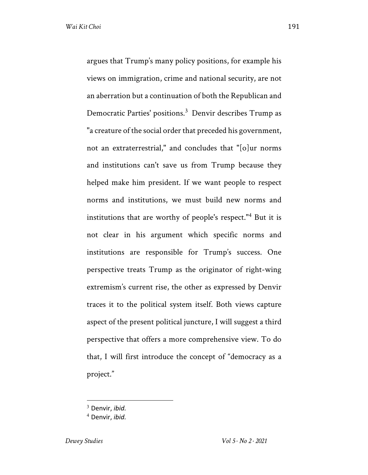argues that Trump's many policy positions, for example his views on immigration, crime and national security, are not an aberration but a continuation of both the Republican and Democratic Parties' positions.<sup>3</sup> Denvir describes Trump as "a creature of the social order that preceded his government, not an extraterrestrial," and concludes that "[o]ur norms and institutions can't save us from Trump because they helped make him president. If we want people to respect norms and institutions, we must build new norms and institutions that are worthy of people's respect."<sup>4</sup> But it is not clear in his argument which specific norms and institutions are responsible for Trump's success. One perspective treats Trump as the originator of right-wing extremism's current rise, the other as expressed by Denvir traces it to the political system itself. Both views capture aspect of the present political juncture, I will suggest a third perspective that offers a more comprehensive view. To do that, I will first introduce the concept of "democracy as a project."

<sup>3</sup> Denvir, *ibid.*

<sup>4</sup> Denvir, *ibid.*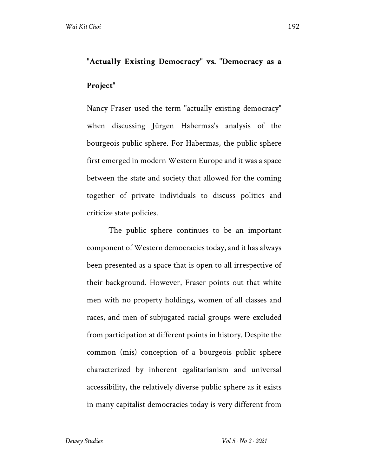## **"Actually Existing Democracy" vs. "Democracy as a Project"**

Nancy Fraser used the term "actually existing democracy" when discussing Jürgen Habermas's analysis of the bourgeois public sphere. For Habermas, the public sphere first emerged in modern Western Europe and it was a space between the state and society that allowed for the coming together of private individuals to discuss politics and criticize state policies.

The public sphere continues to be an important component of Western democracies today, and it has always been presented as a space that is open to all irrespective of their background. However, Fraser points out that white men with no property holdings, women of all classes and races, and men of subjugated racial groups were excluded from participation at different points in history. Despite the common (mis) conception of a bourgeois public sphere characterized by inherent egalitarianism and universal accessibility, the relatively diverse public sphere as it exists in many capitalist democracies today is very different from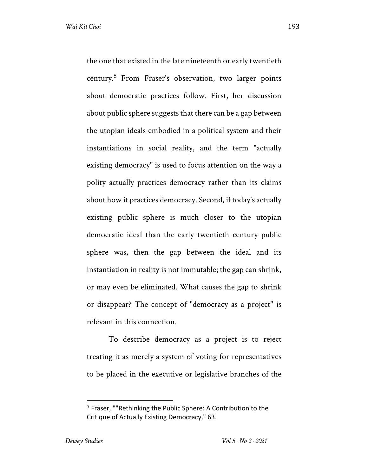the one that existed in the late nineteenth or early twentieth century.<sup>5</sup> From Fraser's observation, two larger points about democratic practices follow. First, her discussion about public sphere suggests that there can be a gap between the utopian ideals embodied in a political system and their instantiations in social reality, and the term "actually existing democracy" is used to focus attention on the way a polity actually practices democracy rather than its claims about how it practices democracy. Second, if today's actually existing public sphere is much closer to the utopian democratic ideal than the early twentieth century public sphere was, then the gap between the ideal and its instantiation in reality is not immutable; the gap can shrink, or may even be eliminated. What causes the gap to shrink or disappear? The concept of "democracy as a project" is relevant in this connection.

To describe democracy as a project is to reject treating it as merely a system of voting for representatives to be placed in the executive or legislative branches of the

 $5$  Fraser, ""Rethinking the Public Sphere: A Contribution to the Critique of Actually Existing Democracy," 63.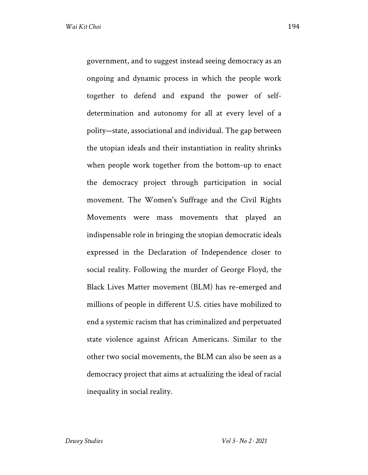government, and to suggest instead seeing democracy as an ongoing and dynamic process in which the people work together to defend and expand the power of selfdetermination and autonomy for all at every level of a polity—state, associational and individual. The gap between the utopian ideals and their instantiation in reality shrinks when people work together from the bottom-up to enact the democracy project through participation in social movement. The Women's Suffrage and the Civil Rights Movements were mass movements that played an indispensable role in bringing the utopian democratic ideals expressed in the Declaration of Independence closer to social reality. Following the murder of George Floyd, the Black Lives Matter movement (BLM) has re-emerged and millions of people in different U.S. cities have mobilized to end a systemic racism that has criminalized and perpetuated state violence against African Americans. Similar to the other two social movements, the BLM can also be seen as a democracy project that aims at actualizing the ideal of racial inequality in social reality.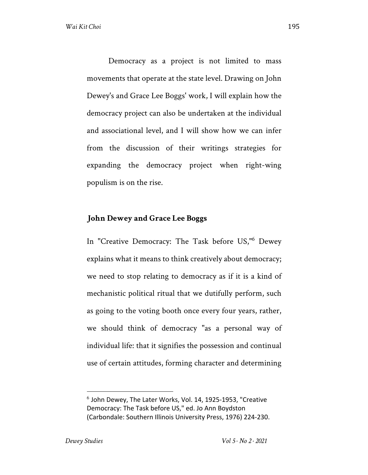Democracy as a project is not limited to mass movements that operate at the state level. Drawing on John Dewey's and Grace Lee Boggs' work, I will explain how the democracy project can also be undertaken at the individual and associational level, and I will show how we can infer from the discussion of their writings strategies for expanding the democracy project when right-wing populism is on the rise.

#### **John Dewey and Grace Lee Boggs**

In "Creative Democracy: The Task before US,"<sup>6</sup> Dewey explains what it means to think creatively about democracy; we need to stop relating to democracy as if it is a kind of mechanistic political ritual that we dutifully perform, such as going to the voting booth once every four years, rather, we should think of democracy "as a personal way of individual life: that it signifies the possession and continual use of certain attitudes, forming character and determining

 $6$  John Dewey, The Later Works, Vol. 14, 1925-1953, "Creative Democracy: The Task before US," ed. Jo Ann Boydston (Carbondale: Southern Illinois University Press, 1976) 224-230.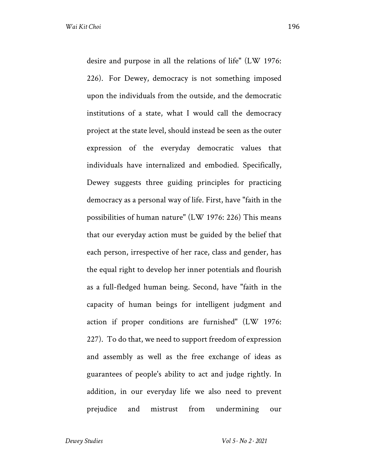desire and purpose in all the relations of life" (LW 1976: 226). For Dewey, democracy is not something imposed upon the individuals from the outside, and the democratic institutions of a state, what I would call the democracy project at the state level, should instead be seen as the outer expression of the everyday democratic values that individuals have internalized and embodied. Specifically, Dewey suggests three guiding principles for practicing democracy as a personal way of life. First, have "faith in the possibilities of human nature" (LW 1976: 226) This means that our everyday action must be guided by the belief that each person, irrespective of her race, class and gender, has the equal right to develop her inner potentials and flourish as a full-fledged human being. Second, have "faith in the capacity of human beings for intelligent judgment and action if proper conditions are furnished" (LW 1976: 227). To do that, we need to support freedom of expression and assembly as well as the free exchange of ideas as guarantees of people's ability to act and judge rightly. In addition, in our everyday life we also need to prevent prejudice and mistrust from undermining our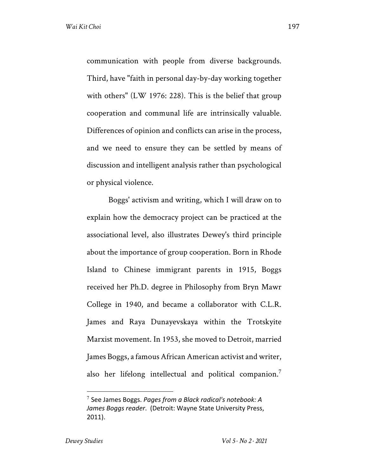communication with people from diverse backgrounds. Third, have "faith in personal day-by-day working together with others" (LW 1976: 228). This is the belief that group cooperation and communal life are intrinsically valuable. Differences of opinion and conflicts can arise in the process, and we need to ensure they can be settled by means of discussion and intelligent analysis rather than psychological or physical violence.

Boggs' activism and writing, which I will draw on to explain how the democracy project can be practiced at the associational level, also illustrates Dewey's third principle about the importance of group cooperation. Born in Rhode Island to Chinese immigrant parents in 1915, Boggs received her Ph.D. degree in Philosophy from Bryn Mawr College in 1940, and became a collaborator with C.L.R. James and Raya Dunayevskaya within the Trotskyite Marxist movement. In 1953, she moved to Detroit, married James Boggs, a famous African American activist and writer, also her lifelong intellectual and political companion.<sup>7</sup>

<sup>7</sup> See James Boggs. *Pages from a Black radical's notebook: A James Boggs reader*. (Detroit: Wayne State University Press, 2011).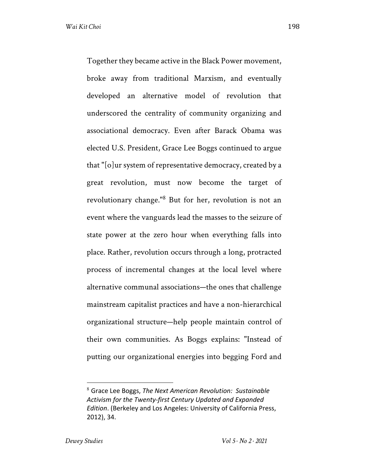Together they became active in the Black Power movement, broke away from traditional Marxism, and eventually developed an alternative model of revolution that underscored the centrality of community organizing and associational democracy. Even after Barack Obama was elected U.S. President, Grace Lee Boggs continued to argue that "[o]ur system of representative democracy, created by a great revolution, must now become the target of revolutionary change."<sup>8</sup> But for her, revolution is not an event where the vanguards lead the masses to the seizure of state power at the zero hour when everything falls into place. Rather, revolution occurs through a long, protracted process of incremental changes at the local level where alternative communal associations—the ones that challenge mainstream capitalist practices and have a non-hierarchical organizational structure—help people maintain control of their own communities. As Boggs explains: "Instead of putting our organizational energies into begging Ford and

<sup>8</sup> Grace Lee Boggs, *The Next American Revolution: Sustainable Activism for the Twenty-first Century Updated and Expanded Edition*. (Berkeley and Los Angeles: University of California Press, 2012), 34.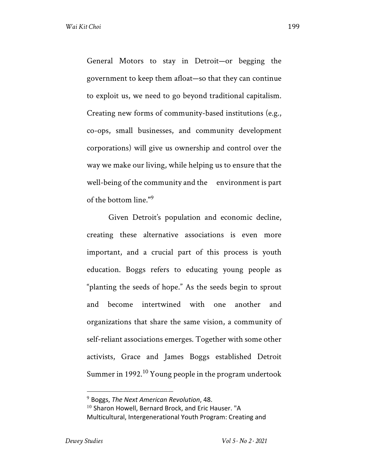General Motors to stay in Detroit—or begging the government to keep them afloat—so that they can continue to exploit us, we need to go beyond traditional capitalism. Creating new forms of community-based institutions (e.g., co-ops, small businesses, and community development corporations) will give us ownership and control over the way we make our living, while helping us to ensure that the well-being of the community and the environment is part of the bottom line."<sup>9</sup>

Given Detroit's population and economic decline, creating these alternative associations is even more important, and a crucial part of this process is youth education. Boggs refers to educating young people as "planting the seeds of hope." As the seeds begin to sprout and become intertwined with one another and organizations that share the same vision, a community of self-reliant associations emerges. Together with some other activists, Grace and James Boggs established Detroit Summer in 1992.<sup>10</sup> Young people in the program undertook

<sup>9</sup> Boggs, *The Next American Revolution*, 48.  $10$  Sharon Howell, Bernard Brock, and Eric Hauser. "A Multicultural, Intergenerational Youth Program: Creating and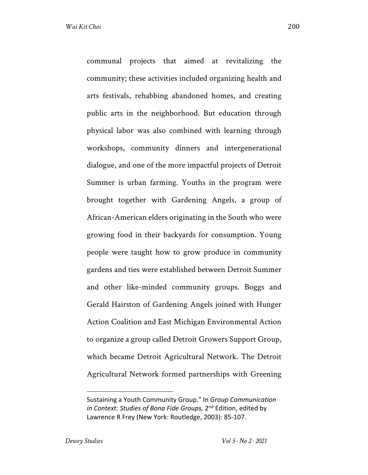communal projects that aimed at revitalizing the community; these activities included organizing health and arts festivals, rehabbing abandoned homes, and creating public arts in the neighborhood. But education through physical labor was also combined with learning through workshops, community dinners and intergenerational dialogue, and one of the more impactful projects of Detroit Summer is urban farming. Youths in the program were brought together with Gardening Angels, a group of African-American elders originating in the South who were growing food in their backyards for consumption. Young people were taught how to grow produce in community gardens and ties were established between Detroit Summer and other like-minded community groups. Boggs and Gerald Hairston of Gardening Angels joined with Hunger Action Coalition and East Michigan Environmental Action to organize a group called Detroit Growers Support Group, which became Detroit Agricultural Network. The Detroit Agricultural Network formed partnerships with Greening

Sustaining a Youth Community Group." In *Group Communication in Context: Studies of Bona Fide Groups,* 2nd Edition, edited by Lawrence R Frey (New York: Routledge, 2003): 85-107.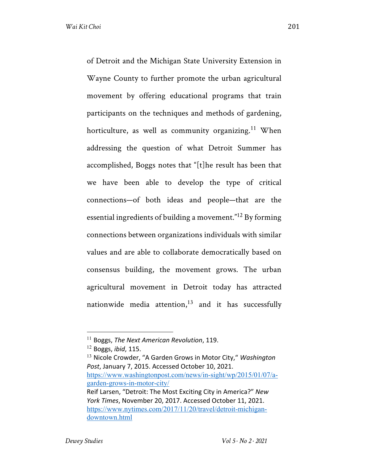of Detroit and the Michigan State University Extension in Wayne County to further promote the urban agricultural movement by offering educational programs that train participants on the techniques and methods of gardening, horticulture, as well as community organizing.<sup>11</sup> When addressing the question of what Detroit Summer has accomplished, Boggs notes that "[t]he result has been that we have been able to develop the type of critical connections—of both ideas and people—that are the essential ingredients of building a movement."<sup>12</sup> By forming connections between organizations individuals with similar values and are able to collaborate democratically based on consensus building, the movement grows. The urban agricultural movement in Detroit today has attracted nationwide media attention, $13$  and it has successfully

<sup>13</sup> Nicole Crowder, "A Garden Grows in Motor City," *Washington Post*, January 7, 2015. Accessed October 10, 2021. https://www.washingtonpost.com/news/in-sight/wp/2015/01/07/agarden-grows-in-motor-city/ Reif Larsen, "Detroit: The Most Exciting City in America?" *New York Times*, November 20, 2017. Accessed October 11, 2021. https://www.nytimes.com/2017/11/20/travel/detroit-michigandowntown.html

<sup>11</sup> Boggs, *The Next American Revolution*, 119.

<sup>12</sup> Boggs, *ibid*, 115.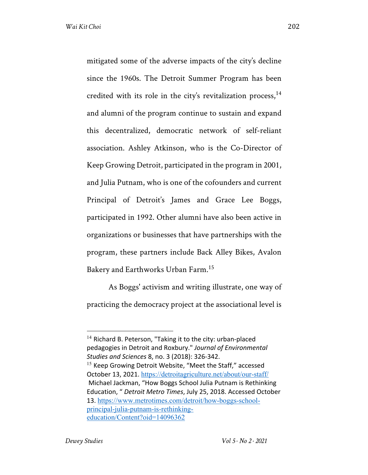mitigated some of the adverse impacts of the city's decline since the 1960s. The Detroit Summer Program has been credited with its role in the city's revitalization process,  $14$ and alumni of the program continue to sustain and expand this decentralized, democratic network of self-reliant association. Ashley Atkinson, who is the Co-Director of Keep Growing Detroit, participated in the program in 2001, and Julia Putnam, who is one of the cofounders and current Principal of Detroit's James and Grace Lee Boggs, participated in 1992. Other alumni have also been active in organizations or businesses that have partnerships with the program, these partners include Back Alley Bikes, Avalon Bakery and Earthworks Urban Farm.15

As Boggs' activism and writing illustrate, one way of practicing the democracy project at the associational level is

 $14$  Richard B. Peterson, "Taking it to the city: urban-placed pedagogies in Detroit and Roxbury." *Journal of Environmental Studies and Sciences* 8, no. 3 (2018): 326-342. <sup>15</sup> Keep Growing Detroit Website, "Meet the Staff," accessed October 13, 2021. https://detroitagriculture.net/about/our-staff/

Michael Jackman, "How Boggs School Julia Putnam is Rethinking Education, " *Detroit Metro Times*, July 25, 2018. Accessed October 13. https://www.metrotimes.com/detroit/how-boggs-schoolprincipal-julia-putnam-is-rethinkingeducation/Content?oid=14096362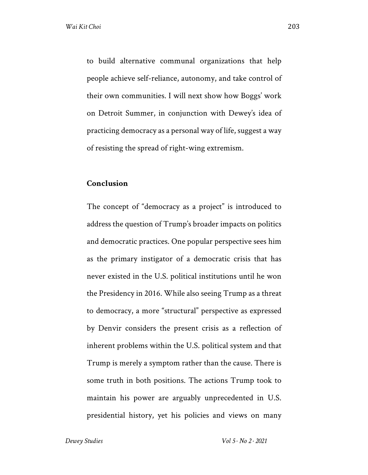to build alternative communal organizations that help people achieve self-reliance, autonomy, and take control of their own communities. I will next show how Boggs' work on Detroit Summer, in conjunction with Dewey's idea of practicing democracy as a personal way of life, suggest a way of resisting the spread of right-wing extremism.

#### **Conclusion**

The concept of "democracy as a project" is introduced to address the question of Trump's broader impacts on politics and democratic practices. One popular perspective sees him as the primary instigator of a democratic crisis that has never existed in the U.S. political institutions until he won the Presidency in 2016. While also seeing Trump as a threat to democracy, a more "structural" perspective as expressed by Denvir considers the present crisis as a reflection of inherent problems within the U.S. political system and that Trump is merely a symptom rather than the cause. There is some truth in both positions. The actions Trump took to maintain his power are arguably unprecedented in U.S. presidential history, yet his policies and views on many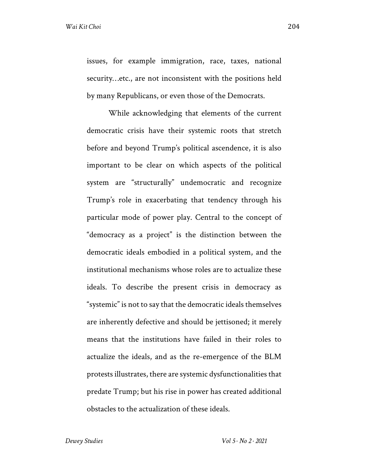issues, for example immigration, race, taxes, national security…etc., are not inconsistent with the positions held by many Republicans, or even those of the Democrats.

While acknowledging that elements of the current democratic crisis have their systemic roots that stretch before and beyond Trump's political ascendence, it is also important to be clear on which aspects of the political system are "structurally" undemocratic and recognize Trump's role in exacerbating that tendency through his particular mode of power play. Central to the concept of "democracy as a project" is the distinction between the democratic ideals embodied in a political system, and the institutional mechanisms whose roles are to actualize these ideals. To describe the present crisis in democracy as "systemic" is not to say that the democratic ideals themselves are inherently defective and should be jettisoned; it merely means that the institutions have failed in their roles to actualize the ideals, and as the re-emergence of the BLM protests illustrates, there are systemic dysfunctionalities that predate Trump; but his rise in power has created additional obstacles to the actualization of these ideals.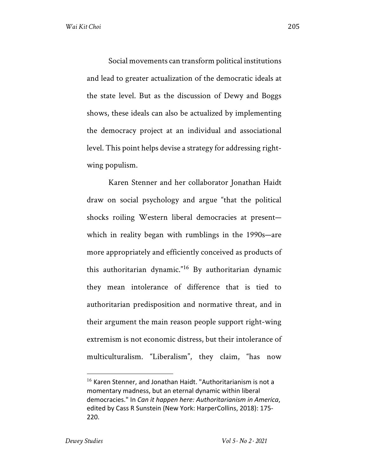Social movements can transform political institutions and lead to greater actualization of the democratic ideals at the state level. But as the discussion of Dewy and Boggs shows, these ideals can also be actualized by implementing the democracy project at an individual and associational level. This point helps devise a strategy for addressing rightwing populism.

Karen Stenner and her collaborator Jonathan Haidt draw on social psychology and argue "that the political shocks roiling Western liberal democracies at present which in reality began with rumblings in the 1990s—are more appropriately and efficiently conceived as products of this authoritarian dynamic."<sup>16</sup> By authoritarian dynamic they mean intolerance of difference that is tied to authoritarian predisposition and normative threat, and in their argument the main reason people support right-wing extremism is not economic distress, but their intolerance of multiculturalism. "Liberalism", they claim, "has now

<sup>&</sup>lt;sup>16</sup> Karen Stenner, and Jonathan Haidt. "Authoritarianism is not a momentary madness, but an eternal dynamic within liberal democracies." In *Can it happen here: Authoritarianism in America*, edited by Cass R Sunstein (New York: HarperCollins, 2018): 175- 220.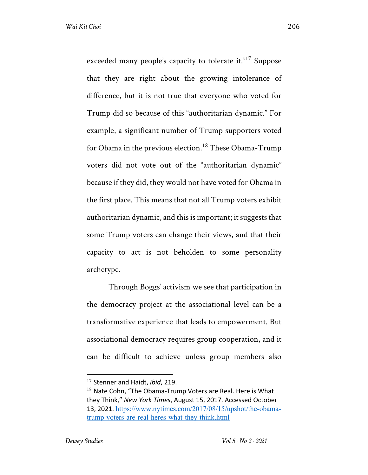exceeded many people's capacity to tolerate it."<sup>17</sup> Suppose that they are right about the growing intolerance of difference, but it is not true that everyone who voted for Trump did so because of this "authoritarian dynamic." For example, a significant number of Trump supporters voted for Obama in the previous election.<sup>18</sup> These Obama-Trump voters did not vote out of the "authoritarian dynamic" because if they did, they would not have voted for Obama in the first place. This means that not all Trump voters exhibit authoritarian dynamic, and this is important; it suggests that some Trump voters can change their views, and that their capacity to act is not beholden to some personality archetype.

Through Boggs' activism we see that participation in the democracy project at the associational level can be a transformative experience that leads to empowerment. But associational democracy requires group cooperation, and it can be difficult to achieve unless group members also

<sup>17</sup> Stenner and Haidt, *ibid*, 219.

 $18$  Nate Cohn, "The Obama-Trump Voters are Real. Here is What they Think," *New York Times*, August 15, 2017. Accessed October 13, 2021. https://www.nytimes.com/2017/08/15/upshot/the-obamatrump-voters-are-real-heres-what-they-think.html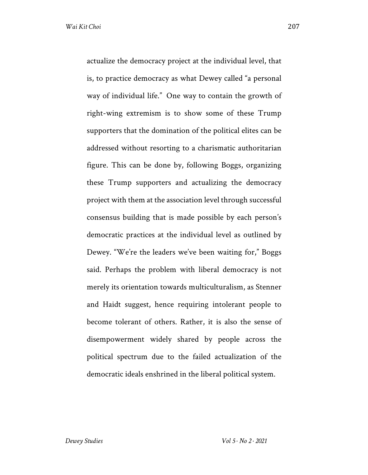actualize the democracy project at the individual level, that is, to practice democracy as what Dewey called "a personal way of individual life." One way to contain the growth of right-wing extremism is to show some of these Trump supporters that the domination of the political elites can be addressed without resorting to a charismatic authoritarian figure. This can be done by, following Boggs, organizing these Trump supporters and actualizing the democracy project with them at the association level through successful consensus building that is made possible by each person's democratic practices at the individual level as outlined by Dewey. "We're the leaders we've been waiting for," Boggs said. Perhaps the problem with liberal democracy is not merely its orientation towards multiculturalism, as Stenner and Haidt suggest, hence requiring intolerant people to become tolerant of others. Rather, it is also the sense of disempowerment widely shared by people across the political spectrum due to the failed actualization of the democratic ideals enshrined in the liberal political system.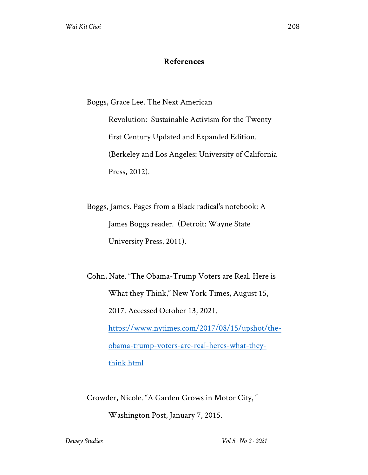### **References**

Boggs, Grace Lee. The Next American

Revolution: Sustainable Activism for the Twentyfirst Century Updated and Expanded Edition. (Berkeley and Los Angeles: University of California Press, 2012).

Boggs, James. Pages from a Black radical's notebook: A James Boggs reader. (Detroit: Wayne State University Press, 2011).

Cohn, Nate. "The Obama-Trump Voters are Real. Here is What they Think," New York Times, August 15, 2017. Accessed October 13, 2021. https://www.nytimes.com/2017/08/15/upshot/theobama-trump-voters-are-real-heres-what-theythink.html

Crowder, Nicole. "A Garden Grows in Motor City, "

Washington Post, January 7, 2015.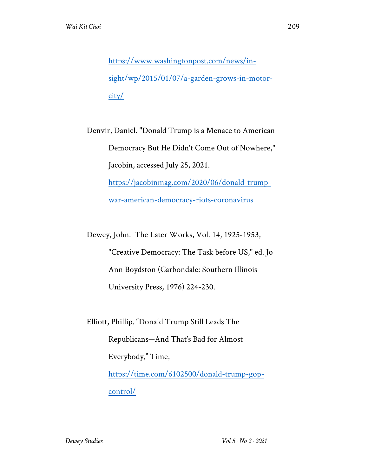https://www.washingtonpost.com/news/insight/wp/2015/01/07/a-garden-grows-in-motorcity/

Denvir, Daniel. "Donald Trump is a Menace to American Democracy But He Didn't Come Out of Nowhere," Jacobin, accessed July 25, 2021. https://jacobinmag.com/2020/06/donald-trump-

war-american-democracy-riots-coronavirus

Dewey, John. The Later Works, Vol. 14, 1925-1953,

"Creative Democracy: The Task before US," ed. Jo Ann Boydston (Carbondale: Southern Illinois University Press, 1976) 224-230.

Elliott, Phillip. "Donald Trump Still Leads The Republicans—And That's Bad for Almost Everybody," Time, https://time.com/6102500/donald-trump-gopcontrol/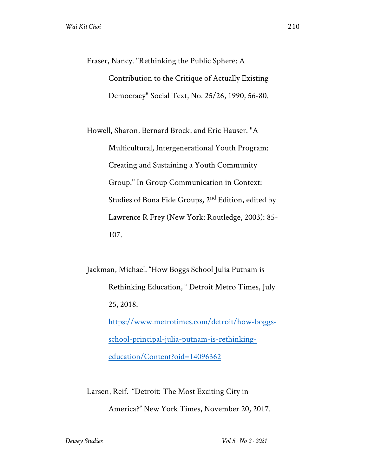Fraser, Nancy. "Rethinking the Public Sphere: A Contribution to the Critique of Actually Existing Democracy" Social Text, No. 25/26, 1990, 56-80.

Howell, Sharon, Bernard Brock, and Eric Hauser. "A Multicultural, Intergenerational Youth Program: Creating and Sustaining a Youth Community Group." In Group Communication in Context: Studies of Bona Fide Groups, 2nd Edition, edited by Lawrence R Frey (New York: Routledge, 2003): 85- 107.

Jackman, Michael. "How Boggs School Julia Putnam is Rethinking Education, " Detroit Metro Times, July 25, 2018.

> https://www.metrotimes.com/detroit/how-boggsschool-principal-julia-putnam-is-rethinkingeducation/Content?oid=14096362

Larsen, Reif. "Detroit: The Most Exciting City in America?" New York Times, November 20, 2017.